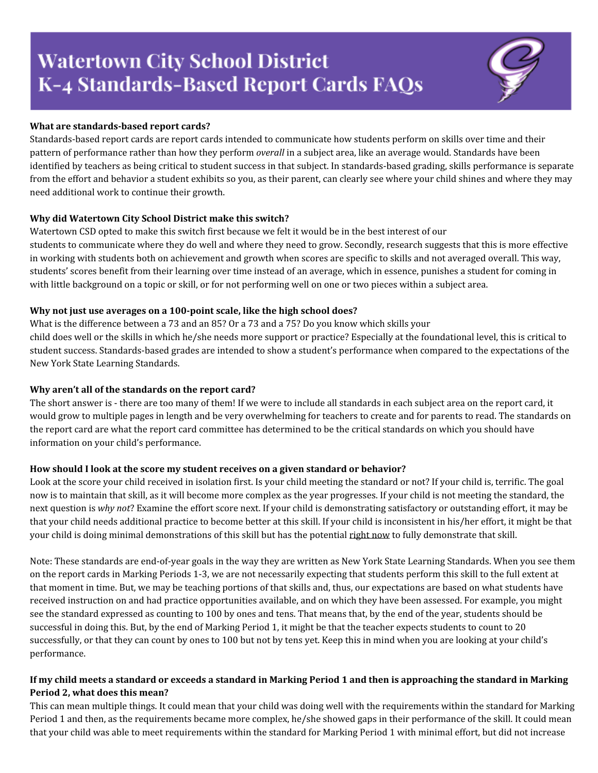# **Watertown City School District** K-4 Standards-Based Report Cards FAQs

# **What are standards-based report cards?**

Standards-based report cards are report cards intended to communicate how students perform on skills over time and their pattern of performance rather than how they perform *overall* in a subject area, like an average would. Standards have been identified by teachers as being critical to student success in that subject. In standards-based grading, skills performance is separate from the effort and behavior a student exhibits so you, as their parent, can clearly see where your child shines and where they may need additional work to continue their growth.

# **Why did Watertown City School District make this switch?**

Watertown CSD opted to make this switch first because we felt it would be in the best interest of our students to communicate where they do well and where they need to grow. Secondly, research suggests that this is more effective in working with students both on achievement and growth when scores are specific to skills and not averaged overall. This way, students' scores benefit from their learning over time instead of an average, which in essence, punishes a student for coming in with little background on a topic or skill, or for not performing well on one or two pieces within a subject area.

# **Why not just use averages on a 100-point scale, like the high school does?**

What is the difference between a 73 and an 85? Or a 73 and a 75? Do you know which skills your child does well or the skills in which he/she needs more support or practice? Especially at the foundational level, this is critical to student success. Standards-based grades are intended to show a student's performance when compared to the expectations of the New York State Learning Standards.

# **Why aren't all of the standards on the report card?**

The short answer is - there are too many of them! If we were to include all standards in each subject area on the report card, it would grow to multiple pages in length and be very overwhelming for teachers to create and for parents to read. The standards on the report card are what the report card committee has determined to be the critical standards on which you should have information on your child's performance.

#### **How should I look at the score my student receives on a given standard or behavior?**

Look at the score your child received in isolation first. Is your child meeting the standard or not? If your child is, terrific. The goal now is to maintain that skill, as it will become more complex as the year progresses. If your child is not meeting the standard, the next question is *why not*? Examine the effort score next. If your child is demonstrating satisfactory or outstanding effort, it may be that your child needs additional practice to become better at this skill. If your child is inconsistent in his/her effort, it might be that your child is doing minimal demonstrations of this skill but has the potential right now to fully demonstrate that skill.

Note: These standards are end-of-year goals in the way they are written as New York State Learning Standards. When you see them on the report cards in Marking Periods 1-3, we are not necessarily expecting that students perform this skill to the full extent at that moment in time. But, we may be teaching portions of that skills and, thus, our expectations are based on what students have received instruction on and had practice opportunities available, and on which they have been assessed. For example, you might see the standard expressed as counting to 100 by ones and tens. That means that, by the end of the year, students should be successful in doing this. But, by the end of Marking Period 1, it might be that the teacher expects students to count to 20 successfully, or that they can count by ones to 100 but not by tens yet. Keep this in mind when you are looking at your child's performance.

# If my child meets a standard or exceeds a standard in Marking Period 1 and then is approaching the standard in Marking **Period 2, what does this mean?**

This can mean multiple things. It could mean that your child was doing well with the requirements within the standard for Marking Period 1 and then, as the requirements became more complex, he/she showed gaps in their performance of the skill. It could mean that your child was able to meet requirements within the standard for Marking Period 1 with minimal effort, but did not increase